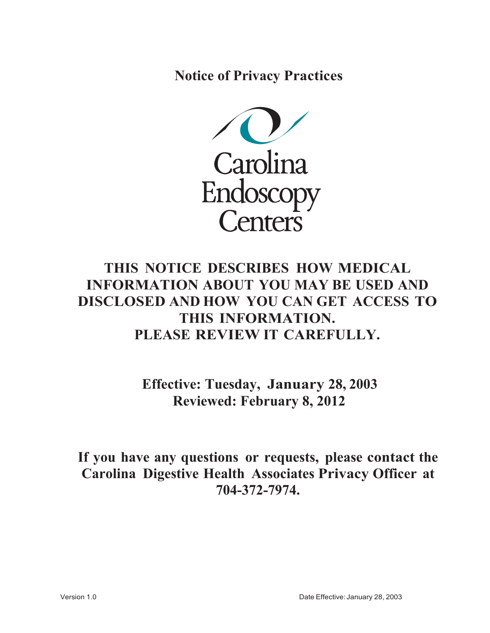**Notice of Privacy Practices**



# **THIS NOTICE DESCRIBES HOW MEDICAL INFORMATION ABOUT YOU MAY BE USED AND DISCLOSED AND HOW YOU CAN GET ACCESS TO THIS INFORMATION. PLEASE REVIEW IT CAREFULLY.**

**Effective: Tuesday, January 28, 2003 Reviewed: February 8, 2012** 

**If you have any questions or requests, please contact the Carolina Digestive Health Associates Privacy Officer at 704-372-7974.**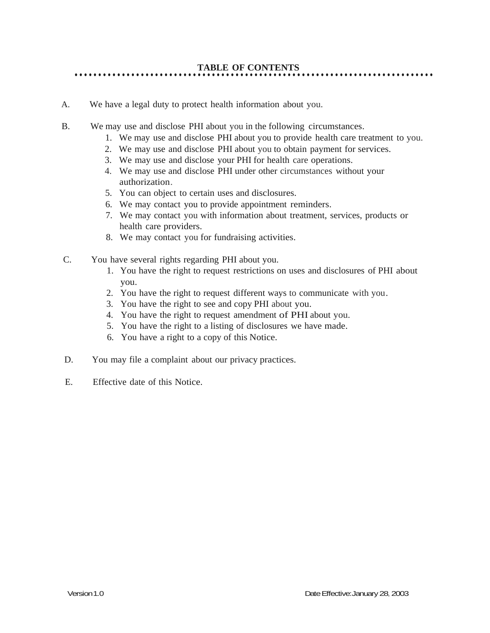- A. We have a legal duty to protect health information about you.
- B. We may use and disclose PHI about you in the following circumstances.
	- 1. We may use and disclose PHI about you to provide health care treatment to you.
	- 2. We may use and disclose PHI about you to obtain payment for services.
	- 3. We may use and disclose your PHI for health care operations.
	- 4. We may use and disclose PHI under other circumstances without your authorization.
	- 5. You can object to certain uses and disclosures.
	- 6. We may contact you to provide appointment reminders.
	- 7. We may contact you with information about treatment, services, products or health care providers.
	- 8. We may contact you for fundraising activities.
- C. You have several rights regarding PHI about you.
	- 1. You have the right to request restrictions on uses and disclosures of PHI about you.
	- 2. You have the right to request different ways to communicate with you.
	- 3. You have the right to see and copy PHI about you.
	- 4. You have the right to request amendment of PHI about you.
	- 5. You have the right to a listing of disclosures we have made.
	- 6. You have a right to a copy of this Notice.
- D. You may file a complaint about our privacy practices.
- E. Effective date of this Notice.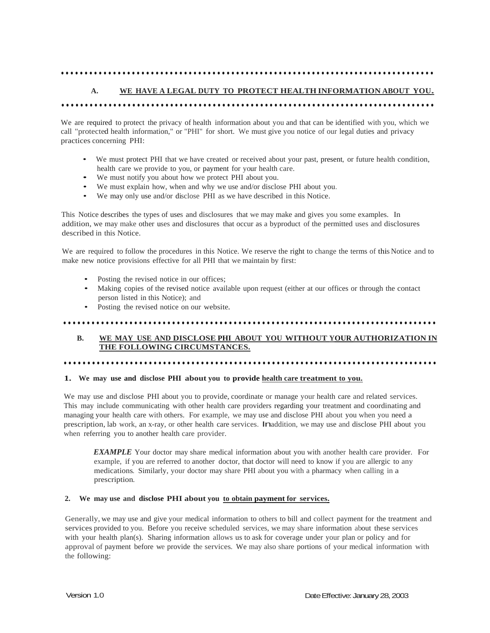# •••••••••••••••••••••••••••••••••••••••••••••••••••••••••••••••••••••••••••••••

### **A. WE HAVE A LEGAL DUTY TO PROTECT HEALTH INFORMATION ABOUT YOU.**

### •••••••••••••••••••••••••••••••••••••••••••••••••••••••••••••••••••••••••••••••

We are required to protect the privacy of health information about you and that can be identified with you, which we call "protected health information," or "PHI" for short. We must give you notice of our legal duties and privacy practices concerning PHI:

- We must protect PHI that we have created or received about your past, present, or future health condition, health care we provide to you, or payment for your health care.
- We must notify you about how we protect PHI about you.
- We must explain how, when and why we use and/or disclose PHI about you.
- We may only use and/or disclose PHI as we have described in this Notice.

This Notice describes the types of uses and disclosures that we may make and gives you some examples. In addition, we may make other uses and disclosures that occur as a byproduct of the permitted uses and disclosures described in this Notice.

We are required to follow the procedures in this Notice. We reserve the right to change the terms of this Notice and to make new notice provisions effective for all PHI that we maintain by first:

- Posting the revised notice in our offices;
- Making copies of the revised notice available upon request (either at our offices or through the contact person listed in this Notice); and
- Posting the revised notice on our website.

# •••••••••••••••••••••••••••••••••••••••••••••••••••••••••••••••••••••••••••••••

# **B. WE MAY USE AND DISCLOSE PHI ABOUT YOU WITHOUT YOUR AUTHORIZATION IN THE FOLLOWING CIRCUMSTANCES.**

# •••••••••••••••••••••••••••••••••••••••••••••••••••••••••••••••••••••••••••••••

### **1. We may use and disclose PHI about you to provide health care treatment to you.**

We may use and disclose PHI about you to provide, coordinate or manage your health care and related services. This may include communicating with other health care providers regarding your treatment and coordinating and managing your health care with others. For example, we may use and disclose PHI about you when you need a prescription, lab work, an x-ray, or other health care services. Inaddition, we may use and disclose PHI about you when referring you to another health care provider.

*EXAMPLE* Your doctor may share medical information about you with another health care provider. For example, if you are referred to another doctor, that doctor will need to know if you are allergic to any medications. Similarly, your doctor may share PHI about you with a pharmacy when calling in a prescription.

### **2. We may use and disclose PHI about you to obtain payment for services.**

Generally, we may use and give your medical information to others to bill and collect payment for the treatment and services provided to you. Before you receive scheduled services, we may share information about these services with your health plan(s). Sharing information allows us to ask for coverage under your plan or policy and for approval of payment before we provide the services. We may also share portions of your medical information with the following: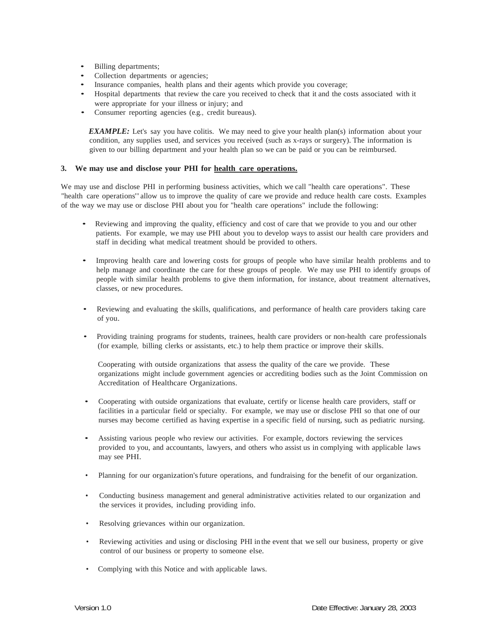- Billing departments;
- Collection departments or agencies;
- Insurance companies, health plans and their agents which provide you coverage;
- Hospital departments that review the care you received to check that it and the costs associated with it were appropriate for your illness or injury; and
- Consumer reporting agencies (e.g., credit bureaus).

*EXAMPLE:* Let's say you have colitis. We may need to give your health plan(s) information about your condition, any supplies used, and services you received (such as x-rays or surgery).The information is given to our billing department and your health plan so we can be paid or you can be reimbursed.

### **3. We may use and disclose your PHI for health care operations.**

We may use and disclose PHI in performing business activities, which we call "health care operations". These "health care operations"allow us to improve the quality of care we provide and reduce health care costs. Examples of the way we may use or disclose PHI about you for "health care operations" include the following:

- Reviewing and improving the quality, efficiency and cost of care that we provide to you and our other patients. For example, we may use PHI about you to develop ways to assist our health care providers and staff in deciding what medical treatment should be provided to others.
- Improving health care and lowering costs for groups of people who have similar health problems and to help manage and coordinate the care for these groups of people. We may use PHI to identify groups of people with similar health problems to give them information, for instance, about treatment alternatives, classes, or new procedures.
- Reviewing and evaluating the skills, qualifications, and performance of health care providers taking care of you.
- Providing training programs for students, trainees, health care providers or non-health care professionals (for example, billing clerks or assistants, etc.) to help them practice or improve their skills.

Cooperating with outside organizations that assess the quality of the care we provide. These organizations might include government agencies or accrediting bodies such as the Joint Commission on Accreditation of Healthcare Organizations.

- Cooperating with outside organizations that evaluate, certify or license health care providers, staff or facilities in a particular field or specialty. For example, we may use or disclose PHI so that one of our nurses may become certified as having expertise in a specific field of nursing, such as pediatric nursing.
- Assisting various people who review our activities. For example, doctors reviewing the services provided to you, and accountants, lawyers, and others who assist us in complying with applicable laws may see PHI.
- Planning for our organization's future operations, and fundraising for the benefit of our organization.
- Conducting business management and general administrative activities related to our organization and the services it provides, including providing info.
- Resolving grievances within our organization.
- Reviewing activities and using or disclosing PHI in the event that we sell our business, property or give control of our business or property to someone else.
- Complying with this Notice and with applicable laws.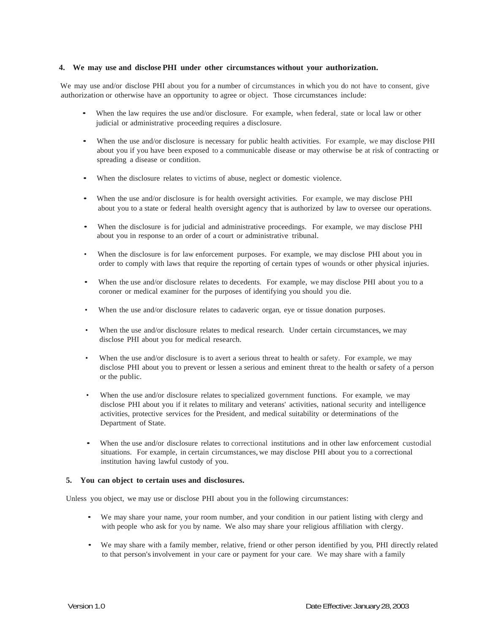### **4. We may use and disclose PHI under other circumstances without your authorization.**

We may use and/or disclose PHI about you for a number of circumstances in which you do not have to consent, give authorization or otherwise have an opportunity to agree or object. Those circumstances include:

- When the law requires the use and/or disclosure. For example, when federal, state or local law or other judicial or administrative proceeding requires a disclosure.
- When the use and/or disclosure is necessary for public health activities. For example, we may disclose PHI about you if you have been exposed to a communicable disease or may otherwise be at risk of contracting or spreading a disease or condition.
- When the disclosure relates to victims of abuse, neglect or domestic violence.
- When the use and/or disclosure is for health oversight activities. For example, we may disclose PHI about you to a state or federal health oversight agency that is authorized by law to oversee our operations.
- When the disclosure is for judicial and administrative proceedings. For example, we may disclose PHI about you in response to an order of a court or administrative tribunal.
- When the disclosure is for law enforcement purposes. For example, we may disclose PHI about you in order to comply with laws that require the reporting of certain types of wounds or other physical injuries.
- When the use and/or disclosure relates to decedents. For example, we may disclose PHI about you to a coroner or medical examiner for the purposes of identifying you should you die.
- When the use and/or disclosure relates to cadaveric organ, eye or tissue donation purposes.
- When the use and/or disclosure relates to medical research. Under certain circumstances, we may disclose PHI about you for medical research.
- When the use and/or disclosure is to avert a serious threat to health or safety. For example, we may disclose PHI about you to prevent or lessen a serious and eminent threat to the health or safety of a person or the public.
- When the use and/or disclosure relates to specialized government functions. For example, we may disclose PHI about you if it relates to military and veterans' activities, national security and intelligence activities, protective services for the President, and medical suitability or determinations of the Department of State.
- When the use and/or disclosure relates to correctional institutions and in other law enforcement custodial situations. For example, in certain circumstances,we may disclose PHI about you to a correctional institution having lawful custody of you.

#### **5. You can object to certain uses and disclosures.**

Unless you object, we may use or disclose PHI about you in the following circumstances:

- We may share your name, your room number, and your condition in our patient listing with clergy and with people who ask for you by name. We also may share your religious affiliation with clergy.
- We may share with a family member, relative, friend or other person identified by you, PHI directly related to that person's involvement in your care or payment for your care. We may share with a family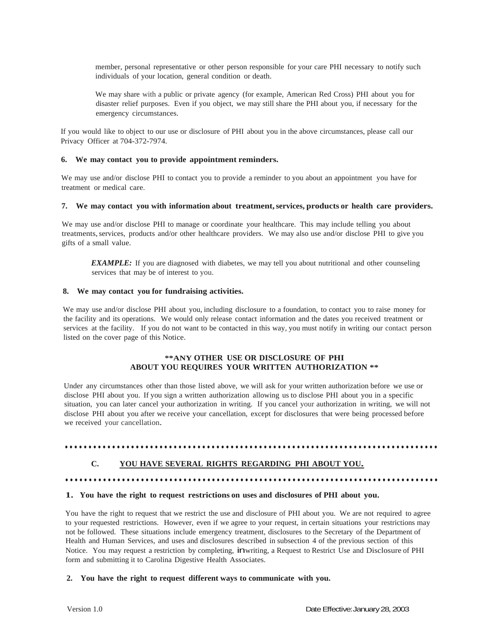member, personal representative or other person responsible for your care PHI necessary to notify such individuals of your location, general condition or death.

We may share with a public or private agency (for example, American Red Cross) PHI about you for disaster relief purposes. Even if you object, we may still share the PHI about you, if necessary for the emergency circumstances.

If you would like to object to our use or disclosure of PHI about you in the above circumstances, please call our Privacy Officer at 704-372-7974.

### **6. We may contact you to provide appointment reminders.**

We may use and/or disclose PHI to contact you to provide a reminder to you about an appointment you have for treatment or medical care.

### **7. We may contact you with information about treatment, services, products or health care providers.**

We may use and/or disclose PHI to manage or coordinate your healthcare. This may include telling you about treatments, services, products and/or other healthcare providers. We may also use and/or disclose PHI to give you gifts of a small value.

*EXAMPLE:* If you are diagnosed with diabetes, we may tell you about nutritional and other counseling services that may be of interest to you.

### **8. We may contact you for fundraising activities.**

We may use and/or disclose PHI about you, including disclosure to a foundation, to contact you to raise money for the facility and its operations. We would only release contact information and the dates you received treatment or services at the facility. If you do not want to be contacted in this way, you must notify in writing our contact person listed on the cover page of this Notice.

# **\*\*ANY OTHER USE OR DISCLOSURE OF PHI ABOUT YOU REQUIRES YOUR WRITTEN AUTHORIZATION \*\***

Under any circumstances other than those listed above, we will ask for your written authorization before we use or disclose PHI about you. If you sign a written authorization allowing us to disclose PHI about you in a specific situation, you can later cancel your authorization in writing. If you cancel your authorization in writing, we will not disclose PHI about you after we receive your cancellation, except for disclosures that were being processed before we received your cancellation.

# •••••••••••••••••••••••••••••••••••••••••••••••••••••••••••••••••••••••••••••••

### **C. YOU HAVE SEVERAL RIGHTS REGARDING PHI ABOUT YOU.**

# •••••••••••••••••••••••••••••••••••••••••••••••••••••••••••••••••••••••••••••••

### **1. You have the right to request restrictions on uses and disclosures of PHI about you.**

You have the right to request that we restrict the use and disclosure of PHI about you. We are not required to agree to your requested restrictions. However, even if we agree to your request, in certain situations your restrictions may not be followed. These situations include emergency treatment, disclosures to the Secretary of the Department of Health and Human Services, and uses and disclosures described in subsection 4 of the previous section of this Notice. You may request a restriction by completing, inwriting, a Request to Restrict Use and Disclosure of PHI form and submitting it to Carolina Digestive Health Associates.

### **2. You have the right to request different ways to communicate with you.**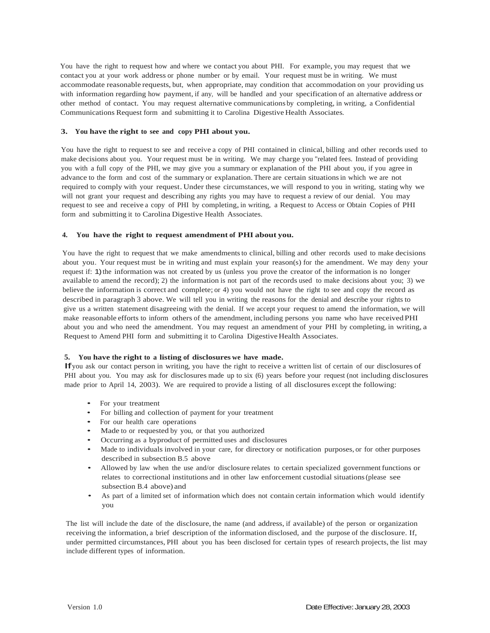You have the right to request how and where we contact you about PHI. For example, you may request that we contact you at your work address or phone number or by email. Your request must be in writing. We must accommodate reasonable requests, but, when appropriate, may condition that accommodation on your providing us with information regarding how payment, if any, will be handled and your specification of an alternative address or other method of contact. You may request alternative communications by completing, in writing, a Confidential Communications Request form and submitting it to Carolina Digestive Health Associates.

### **3. You have the right to see and copy PHI about you.**

You have the right to request to see and receive a copy of PHI contained in clinical, billing and other records used to make decisions about you. Your request must be in writing. We may charge you "related fees. Instead of providing you with a full copy of the PHI, we may give you a summary or explanation of the PHI about you, if you agree in advance to the form and cost of the summary or explanation. There are certain situations in which we are not required to comply with your request.Under these circumstances, we will respond to you in writing, stating why we will not grant your request and describing any rights you may have to request a review of our denial. You may request to see and receive a copy of PHI by completing, in writing, a Request to Access or Obtain Copies of PHI form and submitting it to Carolina Digestive Health Associates.

### **4. You have the right to request amendment of PHI about you.**

You have the right to request that we make amendments to clinical, billing and other records used to make decisions about you. Your request must be in writing and must explain your reason(s) for the amendment. We may deny your request if: 1) the information was not created by us (unless you prove the creator of the information is no longer available to amend the record); 2) the information is not part of the records used to make decisions about you; 3) we believe the information is correct and complete; or 4) you would not have the right to see and copy the record as described in paragraph 3 above. We will tell you in writing the reasons for the denial and describe your rights to give us a written statement disagreeing with the denial. If we accept your request to amend the information, we will make reasonable efforts to inform others of the amendment, including persons you name who have received PHI about you and who need the amendment. You may request an amendment of your PHI by completing, in writing, a Request to Amend PHI form and submitting it to Carolina Digestive Health Associates.

### **5. You have the right to a listing of disclosures we have made.**

If you ask our contact person in writing, you have the right to receive a written list of certain of our disclosures of PHI about you. You may ask for disclosures made up to six (6) years before your request (not including disclosures made prior to April 14, 2003). We are required to provide a listing of all disclosures except the following:

- For your treatment
- For billing and collection of payment for your treatment
- For our health care operations
- Made to or requested by you, or that you authorized
- Occurring as a byproduct of permitted uses and disclosures
- Made to individuals involved in your care, for directory or notification purposes, or for other purposes described in subsection B.5 above
- Allowed by law when the use and/or disclosure relates to certain specialized government functions or relates to correctional institutions and in other law enforcement custodial situations (please see subsection B.4 above) and
- As part of a limited set of information which does not contain certain information which would identify you

The list will include the date of the disclosure, the name (and address, if available) of the person or organization receiving the information, a brief description of the information disclosed, and the purpose of the disclosure. If, under permitted circumstances, PHI about you has been disclosed for certain types of research projects, the list may include different types of information.